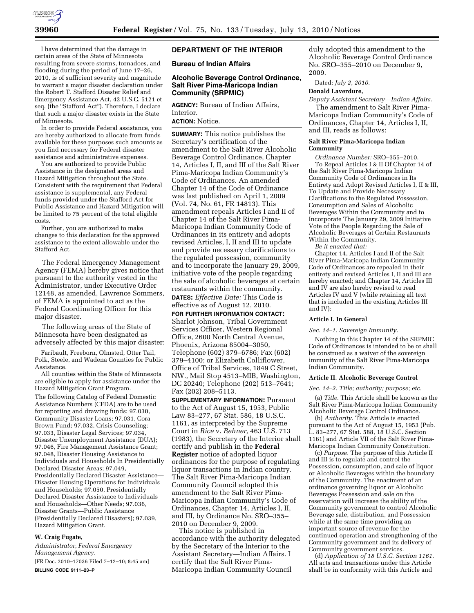

I have determined that the damage in certain areas of the State of Minnesota resulting from severe storms, tornadoes, and flooding during the period of June 17–26, 2010, is of sufficient severity and magnitude to warrant a major disaster declaration under the Robert T. Stafford Disaster Relief and Emergency Assistance Act, 42 U.S.C. 5121 et seq. (the "Stafford Act"). Therefore, I declare that such a major disaster exists in the State of Minnesota.

In order to provide Federal assistance, you are hereby authorized to allocate from funds available for these purposes such amounts as you find necessary for Federal disaster assistance and administrative expenses.

You are authorized to provide Public Assistance in the designated areas and Hazard Mitigation throughout the State. Consistent with the requirement that Federal assistance is supplemental, any Federal funds provided under the Stafford Act for Public Assistance and Hazard Mitigation will be limited to 75 percent of the total eligible costs.

Further, you are authorized to make changes to this declaration for the approved assistance to the extent allowable under the Stafford Act.

The Federal Emergency Management Agency (FEMA) hereby gives notice that pursuant to the authority vested in the Administrator, under Executive Order 12148, as amended, Lawrence Sommers, of FEMA is appointed to act as the Federal Coordinating Officer for this major disaster.

The following areas of the State of Minnesota have been designated as adversely affected by this major disaster:

Faribault, Freeborn, Olmsted, Otter Tail, Polk, Steele, and Wadena Counties for Public Assistance.

All counties within the State of Minnesota are eligible to apply for assistance under the Hazard Mitigation Grant Program. The following Catalog of Federal Domestic Assistance Numbers (CFDA) are to be used for reporting and drawing funds: 97.030, Community Disaster Loans; 97.031, Cora Brown Fund; 97.032, Crisis Counseling; 97.033, Disaster Legal Services; 97.034, Disaster Unemployment Assistance (DUA); 97.046, Fire Management Assistance Grant; 97.048, Disaster Housing Assistance to Individuals and Households In Presidentially Declared Disaster Areas; 97.049, Presidentially Declared Disaster Assistance— Disaster Housing Operations for Individuals and Households; 97.050, Presidentially Declared Disaster Assistance to Individuals and Households—Other Needs; 97.036, Disaster Grants—Public Assistance (Presidentially Declared Disasters); 97.039, Hazard Mitigation Grant.

# **W. Craig Fugate,**

*Administrator, Federal Emergency Management Agency.* 

[FR Doc. 2010–17036 Filed 7–12–10; 8:45 am] **BILLING CODE 9111–23–P** 

# **DEPARTMENT OF THE INTERIOR**

**Bureau of Indian Affairs** 

# **Alcoholic Beverage Control Ordinance, Salt River Pima-Maricopa Indian Community (SRPMIC)**

**AGENCY:** Bureau of Indian Affairs, Interior.

**ACTION:** Notice.

**SUMMARY:** This notice publishes the Secretary's certification of the amendment to the Salt River Alcoholic Beverage Control Ordinance, Chapter 14, Articles I, II, and III of the Salt River Pima-Maricopa Indian Community's Code of Ordinances. An amended Chapter 14 of the Code of Ordinance was last published on April 1, 2009 (Vol. 74, No. 61, FR 14813). This amendment repeals Articles I and II of Chapter 14 of the Salt River Pima-Maricopa Indian Community Code of Ordinances in its entirety and adopts revised Articles, I, II and III to update and provide necessary clarifications to the regulated possession, community and to incorporate the January 29, 2009, initiative vote of the people regarding the sale of alcoholic beverages at certain restaurants within the community. **DATES:** *Effective Date:* This Code is effective as of August 12, 2010.

**FOR FURTHER INFORMATION CONTACT:**  Sharlot Johnson, Tribal Government Services Officer, Western Regional Office, 2600 North Central Avenue, Phoenix, Arizona 85004–3050, Telephone (602) 379–6786; Fax (602) 379–4100; or Elizabeth Colliflower, Office of Tribal Services, 1849 C Street, NW., Mail Stop 4513–MIB, Washington, DC 20240; Telephone (202) 513–7641; Fax (202) 208–5113.

**SUPPLEMENTARY INFORMATION:** Pursuant to the Act of August 15, 1953, Public Law 83–277, 67 Stat. 586, 18 U.S.C. 1161, as interpreted by the Supreme Court in *Rice* v. *Rehner,* 463 U.S. 713 (1983), the Secretary of the Interior shall certify and publish in the **Federal Register** notice of adopted liquor ordinances for the purpose of regulating liquor transactions in Indian country. The Salt River Pima-Maricopa Indian Community Council adopted this amendment to the Salt River Pima-Maricopa Indian Community's Code of Ordinances, Chapter 14, Articles I, II, and III, by Ordinance No. SRO–355– 2010 on December 9, 2009.

This notice is published in accordance with the authority delegated by the Secretary of the Interior to the Assistant Secretary—Indian Affairs. I certify that the Salt River Pima-Maricopa Indian Community Council

duly adopted this amendment to the Alcoholic Beverage Control Ordinance No. SRO–355–2010 on December 9, 2009.

Dated: *July 2, 2010.* 

#### **Donald Laverdure,**

*Deputy Assistant Secretary—Indian Affairs.*  The amendment to Salt River Pima-Maricopa Indian Community's Code of Ordinances, Chapter 14, Articles I, II, and III, reads as follows:

# **Salt River Pima-Maricopa Indian Community**

*Ordinance Number:* SRO–355–2010. To Repeal Articles I & II Of Chapter 14 of the Salt River Pima-Maricopa Indian Community Code of Ordinances in Its Entirety and Adopt Revised Articles I, II & III, To Update and Provide Necessary Clarifications to the Regulated Possession, Consumption and Sales of Alcoholic Beverages Within the Community and to Incorporate The January 29, 2009 Initiative Vote of the People Regarding the Sale of Alcoholic Beverages at Certain Restaurants Within the Community.

*Be it enacted that:* 

Chapter 14, Articles I and II of the Salt River Pima-Maricopa Indian Community Code of Ordinances are repealed in their entirety and revised Articles I, II and III are hereby enacted; and Chapter 14, Articles III and IV are also hereby revised to read Articles IV and V (while retaining all text that is included in the existing Articles III and IV):

# **Article I. In General**

*Sec. 14–1. Sovereign Immunity.* 

Nothing in this Chapter 14 of the SRPMIC Code of Ordinances is intended to be or shall be construed as a waiver of the sovereign immunity of the Salt River Pima-Maricopa Indian Community.

## **Article II. Alcoholic Beverage Control**

*Sec. 14–2. Title; authority; purpose; etc.* 

(a) *Title.* This Article shall be known as the Salt River Pima-Maricopa Indian Community Alcoholic Beverage Control Ordinance.

(b) *Authority.* This Article is enacted pursuant to the Act of August 15, 1953 (Pub. L. 83–277, 67 Stat. 588, 18 U.S.C. Section 1161) and Article VII of the Salt River Pima-Maricopa Indian Community Constitution.

(c) *Purpose.* The purpose of this Article II and III is to regulate and control the Possession, consumption, and sale of liquor or Alcoholic Beverages within the boundary of the Community. The enactment of an ordinance governing liquor or Alcoholic Beverages Possession and sale on the reservation will increase the ability of the Community government to control Alcoholic Beverage sale, distribution, and Possession while at the same time providing an important source of revenue for the continued operation and strengthening of the Community government and its delivery of Community government services.

(d) *Application of 18 U.S.C. Section 1161.*  All acts and transactions under this Article shall be in conformity with this Article and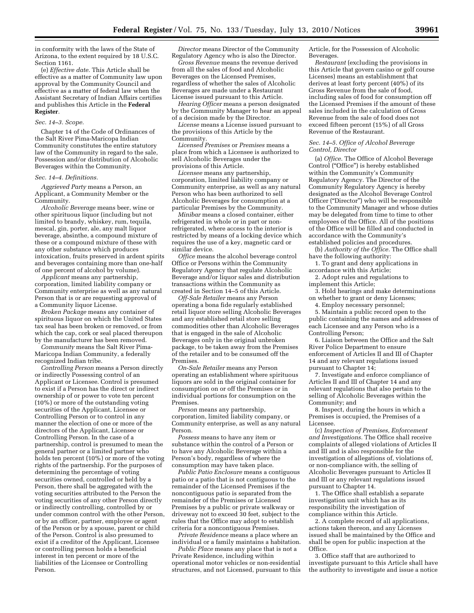in conformity with the laws of the State of Arizona, to the extent required by 18 U.S.C. Section 1161.

(e) *Effective date.* This Article shall be effective as a matter of Community law upon approval by the Community Council and effective as a matter of federal law when the Assistant Secretary of Indian Affairs certifies and publishes this Article in the **Federal Register**.

## *Sec. 14–3. Scope.*

Chapter 14 of the Code of Ordinances of the Salt River Pima-Maricopa Indian Community constitutes the entire statutory law of the Community in regard to the sale, Possession and/or distribution of Alcoholic Beverages within the Community.

# *Sec. 14–4. Definitions.*

*Aggrieved Party* means a Person, an Applicant, a Community Member or the Community.

*Alcoholic Beverage* means beer, wine or other spirituous liquor (including but not limited to brandy, whiskey, rum, tequila, mescal, gin, porter, ale, any malt liquor beverage, absinthe, a compound mixture of these or a compound mixture of these with any other substance which produces intoxication, fruits preserved in ardent spirits and beverages containing more than one-half of one percent of alcohol by volume).

*Applicant* means any partnership, corporation, limited liability company or Community enterprise as well as any natural Person that is or are requesting approval of a Community liquor License.

*Broken Package* means any container of spirituous liquor on which the United States tax seal has been broken or removed, or from which the cap, cork or seal placed thereupon by the manufacturer has been removed.

*Community* means the Salt River Pima-Maricopa Indian Community, a federally recognized Indian tribe.

*Controlling Person* means a Person directly or indirectly Possessing control of an Applicant or Licensee. Control is presumed to exist if a Person has the direct or indirect ownership of or power to vote ten percent (10%) or more of the outstanding voting securities of the Applicant, Licensee or Controlling Person or to control in any manner the election of one or more of the directors of the Applicant, Licensee or Controlling Person. In the case of a partnership, control is presumed to mean the general partner or a limited partner who holds ten percent (10%) or more of the voting rights of the partnership. For the purposes of determining the percentage of voting securities owned, controlled or held by a Person, there shall be aggregated with the voting securities attributed to the Person the voting securities of any other Person directly or indirectly controlling, controlled by or under common control with the other Person, or by an officer, partner, employee or agent of the Person or by a spouse, parent or child of the Person. Control is also presumed to exist if a creditor of the Applicant, Licensee or controlling person holds a beneficial interest in ten percent or more of the liabilities of the Licensee or Controlling Person.

*Director* means Director of the Community Regulatory Agency who is also the Director.

*Gross Revenue* means the revenue derived from all the sales of food and Alcoholic Beverages on the Licensed Premises, regardless of whether the sales of Alcoholic Beverages are made under a Restaurant License issued pursuant to this Article.

*Hearing Officer* means a person designated by the Community Manager to hear an appeal of a decision made by the Director.

*License* means a License issued pursuant to the provisions of this Article by the Community.

*Licensed Premises* or *Premises* means a place from which a Licensee is authorized to sell Alcoholic Beverages under the provisions of this Article.

*Licensee* means any partnership, corporation, limited liability company or Community enterprise, as well as any natural Person who has been authorized to sell Alcoholic Beverages for consumption at a particular Premises by the Community.

*Minibar* means a closed container, either refrigerated in whole or in part or nonrefrigerated, where access to the interior is restricted by means of a locking device which requires the use of a key, magnetic card or similar device.

*Office* means the alcohol beverage control Office or Persons within the Community Regulatory Agency that regulate Alcoholic Beverage and/or liquor sales and distribution transactions within the Community as created in Section 14–5 of this Article.

*Off-Sale Retailer* means any Person operating a bona fide regularly established retail liquor store selling Alcoholic Beverages and any established retail store selling commodities other than Alcoholic Beverages that is engaged in the sale of Alcoholic Beverages only in the original unbroken package, to be taken away from the Premises of the retailer and to be consumed off the Premises.

*On-Sale Retailer* means any Person operating an establishment where spirituous liquors are sold in the original container for consumption on or off the Premises or in individual portions for consumption on the Premises.

*Person* means any partnership, corporation, limited liability company, or Community enterprise, as well as any natural Person.

*Possess* means to have any item or substance within the control of a Person or to have any Alcoholic Beverage within a Person's body, regardless of where the consumption may have taken place.

*Public Patio Enclosure* means a contiguous patio or a patio that is not contiguous to the remainder of the Licensed Premises if the noncontiguous patio is separated from the remainder of the Premises or Licensed Premises by a public or private walkway or driveway not to exceed 30 feet, subject to the rules that the Office may adopt to establish criteria for a noncontiguous Premises.

*Private Residence* means a place where an individual or a family maintains a habitation. *Public Place* means any place that is not a

Private Residence, including within operational motor vehicles or non-residential structures, and not Licensed, pursuant to this Article, for the Possession of Alcoholic Beverages.

*Restaurant* (excluding the provisions in this Article that govern casino or golf course Licenses) means an establishment that derives at least forty percent (40%) of its Gross Revenue from the sale of food, including sales of food for consumption off the Licensed Premises if the amount of these sales included in the calculation of Gross Revenue from the sale of food does not exceed fifteen percent (15%) of all Gross Revenue of the Restaurant.

#### *Sec. 14–5. Office of Alcohol Beverage Control, Director*

(a) *Office.* The Office of Alcohol Beverage Control (''Office'') is hereby established within the Community's Community Regulatory Agency. The Director of the Community Regulatory Agency is hereby designated as the Alcohol Beverage Control Officer (''Director'') who will be responsible to the Community Manager and whose duties may be delegated from time to time to other employees of the Office. All of the positions of the Office will be filled and conducted in accordance with the Community's established policies and procedures.

(b) *Authority of the Office.* The Office shall have the following authority:

1. To grant and deny applications in accordance with this Article;

2. Adopt rules and regulations to implement this Article;

3. Hold hearings and make determinations on whether to grant or deny Licenses;

4. Employ necessary personnel;

5. Maintain a public record open to the public containing the names and addresses of each Licensee and any Person who is a Controlling Person;

6. Liaison between the Office and the Salt River Police Department to ensure enforcement of Articles II and III of Chapter 14 and any relevant regulations issued pursuant to Chapter 14;

7. Investigate and enforce compliance of Articles II and III of Chapter 14 and any relevant regulations that also pertain to the selling of Alcoholic Beverages within the Community; and

8. Inspect, during the hours in which a Premises is occupied, the Premises of a Licensee.

(c) *Inspection of Premises, Enforcement and Investigations.* The Office shall receive complaints of alleged violations of Articles II and III and is also responsible for the investigation of allegations of, violations of, or non-compliance with, the selling of Alcoholic Beverages pursuant to Articles II and III or any relevant regulations issued pursuant to Chapter 14.

1. The Office shall establish a separate investigation unit which has as its responsibility the investigation of compliance within this Article.

2. A complete record of all applications, actions taken thereon, and any Licenses issued shall be maintained by the Office and shall be open for public inspection at the Office.

3. Office staff that are authorized to investigate pursuant to this Article shall have the authority to investigate and issue a notice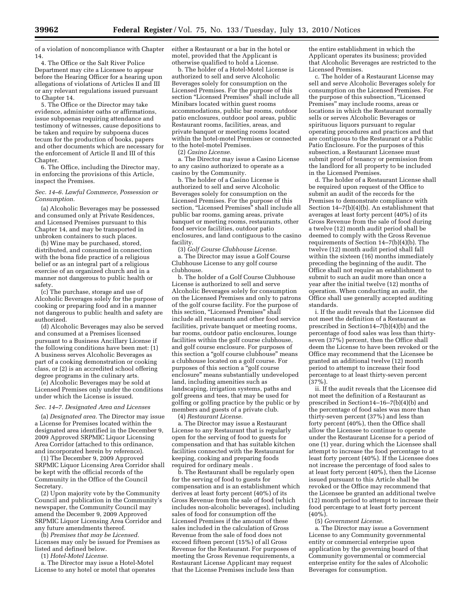of a violation of noncompliance with Chapter 14.

4. The Office or the Salt River Police Department may cite a Licensee to appear before the Hearing Officer for a hearing upon allegations of violations of Articles II and III or any relevant regulations issued pursuant to Chapter 14.

5. The Office or the Director may take evidence, administer oaths or affirmations, issue subpoenas requiring attendance and testimony of witnesses, cause depositions to be taken and require by subpoena duces tecum for the production of books, papers and other documents which are necessary for the enforcement of Article II and III of this Chapter.

6. The Office, including the Director may, in enforcing the provisions of this Article, inspect the Premises.

# *Sec. 14–6. Lawful Commerce, Possession or Consumption.*

(a) Alcoholic Beverages may be possessed and consumed only at Private Residences, and Licensed Premises pursuant to this Chapter 14, and may be transported in unbroken containers to such places.

(b) Wine may be purchased, stored, distributed, and consumed in connection with the bona fide practice of a religious belief or as an integral part of a religious exercise of an organized church and in a manner not dangerous to public health or safety.

(c) The purchase, storage and use of Alcoholic Beverages solely for the purpose of cooking or preparing food and in a manner not dangerous to public health and safety are authorized.

(d) Alcoholic Beverages may also be served and consumed at a Premises licensed pursuant to a Business Ancillary License if the following conditions have been met: (1) A business serves Alcoholic Beverages as part of a cooking demonstration or cooking class, or (2) is an accredited school offering degree programs in the culinary arts.

(e) Alcoholic Beverages may be sold at Licensed Premises only under the conditions under which the License is issued.

#### *Sec. 14–7. Designated Area and Licenses*

(a) *Designated area.* The Director may issue a License for Premises located within the designated area identified in the December 9, 2009 Approved SRPMIC Liquor Licensing Area Corridor (attached to this ordinance, and incorporated herein by reference).

(1) The December 9, 2009 Approved SRPMIC Liquor Licensing Area Corridor shall be kept with the official records of the Community in the Office of the Council Secretary.

(2) Upon majority vote by the Community Council and publication in the Community's newspaper, the Community Council may amend the December 9, 2009 Approved SRPMIC Liquor Licensing Area Corridor and any future amendments thereof.

(b) *Premises that may be Licensed.*  Licenses may only be issued for Premises as listed and defined below.

(1) *Hotel-Motel License.* 

a. The Director may issue a Hotel-Motel License to any hotel or motel that operates either a Restaurant or a bar in the hotel or motel, provided that the Applicant is otherwise qualified to hold a License.

b. The holder of a Hotel-Motel License is authorized to sell and serve Alcoholic Beverages solely for consumption on the Licensed Premises. For the purpose of this section "Licensed Premises" shall include all Minibars located within guest rooms accommodations, public bar rooms, outdoor patio enclosures, outdoor pool areas, public Restaurant rooms, facilities, areas, and private banquet or meeting rooms located within the hotel-motel Premises or connected to the hotel-motel Premises.

(2) *Casino License.* 

a. The Director may issue a Casino License to any casino authorized to operate as a casino by the Community.

b. The holder of a Casino License is authorized to sell and serve Alcoholic Beverages solely for consumption on the Licensed Premises. For the purpose of this section, ''Licensed Premises'' shall include all public bar rooms, gaming areas, private banquet or meeting rooms, restaurants, other food service facilities, outdoor patio enclosures, and land contiguous to the casino facility.

(3) *Golf Course Clubhouse License.*  a. The Director may issue a Golf Course Clubhouse License to any golf course clubhouse.

b. The holder of a Golf Course Clubhouse License is authorized to sell and serve Alcoholic Beverages solely for consumption on the Licensed Premises and only to patrons of the golf course facility. For the purpose of this section, ''Licensed Premises'' shall include all restaurants and other food service facilities, private banquet or meeting rooms, bar rooms, outdoor patio enclosures, lounge facilities within the golf course clubhouse, and golf course enclosure. For purposes of this section a ''golf course clubhouse'' means a clubhouse located on a golf course. For purposes of this section a ''golf course enclosure'' means substantially undeveloped land, including amenities such as landscaping, irrigation systems, paths and golf greens and tees, that may be used for golfing or golfing practice by the public or by members and guests of a private club.

(4) *Restaurant License.* 

a. The Director may issue a Restaurant License to any Restaurant that is regularly open for the serving of food to guests for compensation and that has suitable kitchen facilities connected with the Restaurant for keeping, cooking and preparing foods required for ordinary meals .

b. The Restaurant shall be regularly open for the serving of food to guests for compensation and is an establishment which derives at least forty percent (40%) of its Gross Revenue from the sale of food (which includes non-alcoholic beverages), including sales of food for consumption off the Licensed Premises if the amount of these sales included in the calculation of Gross Revenue from the sale of food does not exceed fifteen percent (15%) of all Gross Revenue for the Restaurant. For purposes of meeting the Gross Revenue requirements, a Restaurant License Applicant may request that the License Premises include less than

the entire establishment in which the Applicant operates its business; provided that Alcoholic Beverages are restricted to the Licensed Premises.

c. The holder of a Restaurant License may sell and serve Alcoholic Beverages solely for consumption on the Licensed Premises. For the purpose of this subsection, ''Licensed Premises'' may include rooms, areas or locations in which the Restaurant normally sells or serves Alcoholic Beverages or spirituous liquors pursuant to regular operating procedures and practices and that are contiguous to the Restaurant or a Public Patio Enclosure. For the purposes of this subsection, a Restaurant Licensee must submit proof of tenancy or permission from the landlord for all property to be included in the Licensed Premises.

d. The holder of a Restaurant License shall be required upon request of the Office to submit an audit of the records for the Premises to demonstrate compliance with Section 14–7(b)(4)(b). An establishment that averages at least forty percent (40%) of its Gross Revenue from the sale of food during a twelve (12) month audit period shall be deemed to comply with the Gross Revenue requirements of Section 14–7(b)(4)(b). The twelve (12) month audit period shall fall within the sixteen (16) months immediately preceding the beginning of the audit. The Office shall not require an establishment to submit to such an audit more than once a year after the initial twelve (12) months of operation. When conducting an audit, the Office shall use generally accepted auditing standards.

i. If the audit reveals that the Licensee did not meet the definition of a Restaurant as prescribed in Section14–7(b)(4)(b) and the percentage of food sales was less than thirtyseven (37%) percent, then the Office shall deem the License to have been revoked or the Office may recommend that the Licensee be granted an additional twelve (12) month period to attempt to increase their food percentage to at least thirty-seven percent  $(37%)$ .

ii. If the audit reveals that the Licensee did not meet the definition of a Restaurant as prescribed in Section14–16–7(b)(4)(b) and the percentage of food sales was more than thirty-seven percent (37%) and less than forty percent (40%), then the Office shall allow the Licensee to continue to operate under the Restaurant License for a period of one (1) year, during which the Licensee shall attempt to increase the food percentage to at least forty percent (40%). If the Licensee does not increase the percentage of food sales to at least forty percent (40%), then the License issued pursuant to this Article shall be revoked or the Office may recommend that the Licensee be granted an additional twelve (12) month period to attempt to increase their food percentage to at least forty percent  $(40\%$ ).

(5) *Government License.* 

a. The Director may issue a Government License to any Community governmental entity or commercial enterprise upon application by the governing board of that Community governmental or commercial enterprise entity for the sales of Alcoholic Beverages for consumption.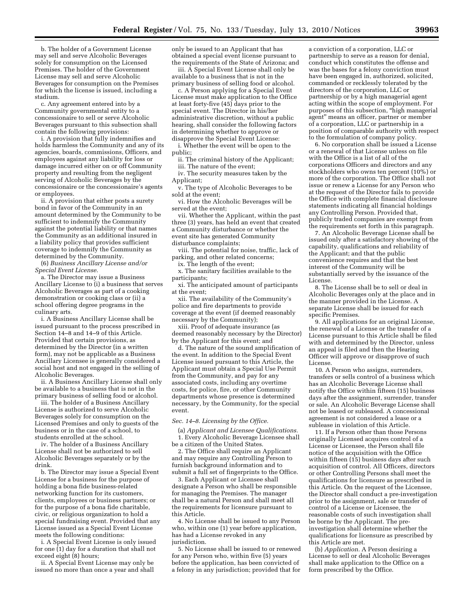b. The holder of a Government License may sell and serve Alcoholic Beverages solely for consumption on the Licensed Premises. The holder of the Government License may sell and serve Alcoholic Beverages for consumption on the Premises for which the license is issued, including a stadium.

c. Any agreement entered into by a Community governmental entity to a concessionaire to sell or serve Alcoholic Beverages pursuant to this subsection shall contain the following provisions:

i. A provision that fully indemnifies and holds harmless the Community and any of its agencies, boards, commissions, Officers, and employees against any liability for loss or damage incurred either on or off Community property and resulting from the negligent serving of Alcoholic Beverages by the concessionaire or the concessionaire's agents or employees.

ii. A provision that either posts a surety bond in favor of the Community in an amount determined by the Community to be sufficient to indemnify the Community against the potential liability or that names the Community as an additional insured in a liability policy that provides sufficient coverage to indemnify the Community as determined by the Community.

(6) *Business Ancillary License and/or Special Event License.* 

a. The Director may issue a Business Ancillary License to (i) a business that serves Alcoholic Beverages as part of a cooking demonstration or cooking class or (ii) a school offering degree programs in the culinary arts.

i. A Business Ancillary License shall be issued pursuant to the process prescribed in Section 14–8 and 14–9 of this Article. Provided that certain provisions, as determined by the Director (in a written form), may not be applicable as a Business Ancillary Licensee is generally considered a social host and not engaged in the selling of Alcoholic Beverages.

ii. A Business Ancillary License shall only be available to a business that is not in the primary business of selling food or alcohol.

iii. The holder of a Business Ancillary License is authorized to serve Alcoholic Beverages solely for consumption on the Licensed Premises and only to guests of the business or in the case of a school, to students enrolled at the school.

iv. The holder of a Business Ancillary License shall not be authorized to sell Alcoholic Beverages separately or by the drink.

b. The Director may issue a Special Event License for a business for the purpose of holding a bona fide business-related networking function for its customers, clients, employees or business partners; or for the purpose of a bona fide charitable, civic, or religious organization to hold a special fundraising event. Provided that any License issued as a Special Event License meets the following conditions:

i. A Special Event License is only issued for one  $(1)$  day for a duration that shall not exceed eight (8) hours;

ii. A Special Event License may only be issued no more than once a year and shall only be issued to an Applicant that has obtained a special event license pursuant to the requirements of the State of Arizona; and

iii. A Special Event License shall only be available to a business that is not in the primary business of selling food or alcohol.

c. A Person applying for a Special Event License must make application to the Office at least forty-five (45) days prior to the special event. The Director in his/her administrative discretion, without a public hearing, shall consider the following factors in determining whether to approve or disapprove the Special Event License:

i. Whether the event will be open to the public;

ii. The criminal history of the Applicant; iii. The nature of the event;

iv. The security measures taken by the

Applicant;

v. The type of Alcoholic Beverages to be sold at the event;

vi. How the Alcoholic Beverages will be served at the event;

vii. Whether the Applicant, within the past three (3) years, has held an event that created a Community disturbance or whether the event site has generated Community disturbance complaints;

viii. The potential for noise, traffic, lack of parking, and other related concerns;

ix. The length of the event;

x. The sanitary facilities available to the participants;

xi. The anticipated amount of participants at the event;

xii. The availability of the Community's police and fire departments to provide coverage at the event (if deemed reasonably necessary by the Community);

xiii. Proof of adequate insurance (as deemed reasonably necessary by the Director) by the Applicant for this event; and

d. The nature of the sound amplification of the event. In addition to the Special Event License issued pursuant to this Article, the Applicant must obtain a Special Use Permit from the Community, and pay for any associated costs, including any overtime costs, for police, fire, or other Community departments whose presence is determined necessary, by the Community, for the special event.

# *Sec. 14–8. Licensing by the Office.*

(a) *Applicant and Licensee Qualifications.*  1. Every Alcoholic Beverage Licensee shall be a citizen of the United States.

2. The Office shall require an Applicant and may require any Controlling Person to furnish background information and to submit a full set of fingerprints to the Office.

3. Each Applicant or Licensee shall designate a Person who shall be responsible for managing the Premises. The manager shall be a natural Person and shall meet all the requirements for licensure pursuant to this Article.

4. No License shall be issued to any Person who, within one (1) year before application, has had a License revoked in any jurisdiction.

5. No License shall be issued to or renewed for any Person who, within five (5) years before the application, has been convicted of a felony in any jurisdiction; provided that for

a conviction of a corporation, LLC or partnership to serve as a reason for denial, conduct which constitutes the offense and was the bases for a felony conviction must have been engaged in, authorized, solicited, commanded or recklessly tolerated by the directors of the corporation, LLC or partnership or by a high managerial agent acting within the scope of employment. For purposes of this subsection, ''high managerial agent'' means an officer, partner or member of a corporation, LLC or partnership in a position of comparable authority with respect to the formulation of company policy.

6. No corporation shall be issued a License or a renewal of that License unless on file with the Office is a list of all of the corporations Officers and directors and any stockholders who owns ten percent (10%) or more of the corporation. The Office shall not issue or renew a License for any Person who at the request of the Director fails to provide the Office with complete financial disclosure statements indicating all financial holdings any Controlling Person. Provided that, publicly traded companies are exempt from the requirements set forth in this paragraph.

7. An Alcoholic Beverage License shall be issued only after a satisfactory showing of the capability, qualifications and reliability of the Applicant; and that the public convenience requires and that the best interest of the Community will be substantially served by the issuance of the License.

8. The License shall be to sell or deal in Alcoholic Beverages only at the place and in the manner provided in the License. A separate License shall be issued for each specific Premises.

9. All applications for an original License, the renewal of a License or the transfer of a License pursuant to this Article shall be filed with and determined by the Director, unless an appeal is filed and then the Hearing Officer will approve or disapprove of such License.

10. A Person who assigns, surrenders, transfers or sells control of a business which has an Alcoholic Beverage License shall notify the Office within fifteen (15) business days after the assignment, surrender, transfer or sale. An Alcoholic Beverage License shall not be leased or subleased. A concessional agreement is not considered a lease or a sublease in violation of this Article.

11. If a Person other than those Persons originally Licensed acquires control of a License or Licensee, the Person shall file notice of the acquisition with the Office within fifteen (15) business days after such acquisition of control. All Officers, directors or other Controlling Persons shall meet the qualifications for licensure as prescribed in this Article. On the request of the Licensee, the Director shall conduct a pre-investigation prior to the assignment, sale or transfer of control of a License or Licensee, the reasonable costs of such investigation shall be borne by the Applicant. The preinvestigation shall determine whether the qualifications for licensure as prescribed by this Article are met.

(b) *Application.* A Person desiring a License to sell or deal Alcoholic Beverages shall make application to the Office on a form prescribed by the Office.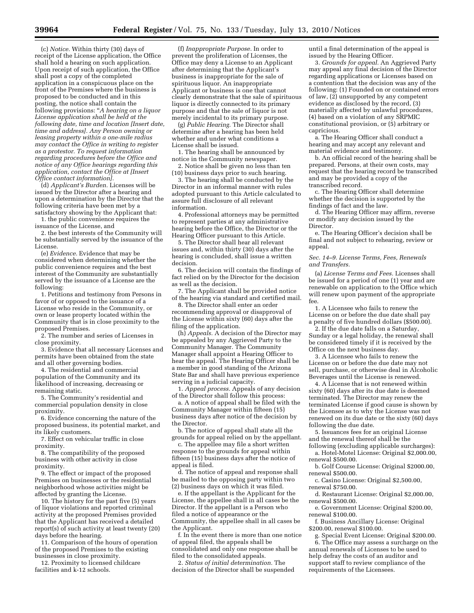(c) *Notice.* Within thirty (30) days of receipt of the License application, the Office shall hold a hearing on such application. Upon receipt of such application, the Office shall post a copy of the completed application in a conspicuous place on the front of the Premises where the business is proposed to be conducted and in this posting, the notice shall contain the following provisions: ''*A hearing on a liquor License application shall be held at the following date, time and location [Insert date, time and address]. Any Person owning or leasing property within a one-mile radius may contact the Office in writing to register as a protestor. To request information regarding procedures before the Office and notice of any Office hearings regarding this application, contact the Office at [Insert Office contact information].* 

(d) *Applicant's Burden.* Licenses will be issued by the Director after a hearing and upon a determination by the Director that the following criteria have been met by a satisfactory showing by the Applicant that:

1. the public convenience requires the issuance of the License, and

2. the best interests of the Community will be substantially served by the issuance of the License.

(e) *Evidence.* Evidence that may be considered when determining whether the public convenience requires and the best interest of the Community are substantially served by the issuance of a License are the following:

1. Petitions and testimony from Persons in favor of or opposed to the issuance of a License who reside in the Community, or own or lease property located within the Community that is in close proximity to the proposed Premises.

2. The number and series of Licenses in close proximity.

3. Evidence that all necessary Licenses and permits have been obtained from the state and all other governing bodies.

4. The residential and commercial population of the Community and its likelihood of increasing, decreasing or remaining static.

5. The Community's residential and commercial population density in close proximity.

6. Evidence concerning the nature of the proposed business, its potential market, and its likely customers.

7. Effect on vehicular traffic in close proximity.

8. The compatibility of the proposed business with other activity in close proximity.

9. The effect or impact of the proposed Premises on businesses or the residential neighborhood whose activities might be affected by granting the License.

10. The history for the past five (5) years of liquor violations and reported criminal activity at the proposed Premises provided that the Applicant has received a detailed report(s) of such activity at least twenty (20) days before the hearing.

11. Comparison of the hours of operation of the proposed Premises to the existing businesses in close proximity.

12. Proximity to licensed childcare facilities and k-12 schools.

(f) *Inappropriate Purpose.* In order to prevent the proliferation of Licenses, the Office may deny a License to an Applicant after determining that the Applicant's business is inappropriate for the sale of spirituous liquor. An inappropriate Applicant or business is one that cannot clearly demonstrate that the sale of spirituous liquor is directly connected to its primary purpose and that the sale of liquor is not merely incidental to its primary purpose.

(g) *Public Hearing.* The Director shall determine after a hearing has been held whether and under what conditions a License shall be issued.

1. The hearing shall be announced by notice in the Community newspaper.

2. Notice shall be given no less than ten (10) business days prior to such hearing.

3. The hearing shall be conducted by the Director in an informal manner with rules adopted pursuant to this Article calculated to assure full disclosure of all relevant information.

4. Professional attorneys may be permitted to represent parties at any administrative hearing before the Office, the Director or the Hearing Officer pursuant to this Article.

5. The Director shall hear all relevant issues and, within thirty (30) days after the hearing is concluded, shall issue a written decision.

6. The decision will contain the findings of fact relied on by the Director for the decision as well as the decision.

7. The Applicant shall be provided notice of the hearing via standard and certified mail.

8. The Director shall enter an order recommending approval or disapproval of the License within sixty (60) days after the filing of the application.

(h) *Appeals.* A decision of the Director may be appealed by any Aggrieved Party to the Community Manager. The Community Manager shall appoint a Hearing Officer to hear the appeal. The Hearing Officer shall be a member in good standing of the Arizona State Bar and shall have previous experience serving in a judicial capacity.

1. *Appeal process.* Appeals of any decision of the Director shall follow this process:

a. A notice of appeal shall be filed with the Community Manager within fifteen (15) business days after notice of the decision by the Director.

b. The notice of appeal shall state all the grounds for appeal relied on by the appellant.

c. The appellee may file a short written response to the grounds for appeal within fifteen (15) business days after the notice of appeal is filed.

d. The notice of appeal and response shall be mailed to the opposing party within two (2) business days on which it was filed.

e. If the appellant is the Applicant for the License, the appellee shall in all cases be the Director. If the appellant is a Person who filed a notice of appearance or the Community, the appellee shall in all cases be the Applicant.

f. In the event there is more than one notice of appeal filed, the appeals shall be consolidated and only one response shall be filed to the consolidated appeals.

2. *Status of initial determination.* The decision of the Director shall be suspended

until a final determination of the appeal is issued by the Hearing Officer.

3. *Grounds for appeal.* An Aggrieved Party may appeal any final decision of the Director regarding applications or Licenses based on a contention that the decision was any of the following: (1) Founded on or contained errors of law, (2) unsupported by any competent evidence as disclosed by the record, (3) materially affected by unlawful procedures, (4) based on a violation of any SRPMIC constitutional provision, or (5) arbitrary or capricious.

a. The Hearing Officer shall conduct a hearing and may accept any relevant and material evidence and testimony.

b. An official record of the hearing shall be prepared. Persons, at their own costs, may request that the hearing record be transcribed and may be provided a copy of the transcribed record.

c. The Hearing Officer shall determine whether the decision is supported by the findings of fact and the law.

d. The Hearing Officer may affirm, reverse or modify any decision issued by the Director.

e. The Hearing Officer's decision shall be final and not subject to rehearing, review or appeal.

*Sec. 14–9. License Terms, Fees, Renewals and Transfers.* 

(a) *License Terms and Fees.* Licenses shall be issued for a period of one (1) year and are renewable on application to the Office which will renew upon payment of the appropriate fee.

1. A Licensee who fails to renew the License on or before the due date shall pay a penalty of five hundred dollars (\$500.00).

2. If the due date falls on a Saturday, Sunday or a legal holiday, the renewal shall be considered timely if it is received by the Office on the next business day.

3. A Licensee who fails to renew the License on or before the due date may not sell, purchase, or otherwise deal in Alcoholic Beverages until the License is renewed.

4. A License that is not renewed within sixty (60) days after its due date is deemed terminated. The Director may renew the terminated License if good cause is shown by the Licensee as to why the License was not renewed on its due date or the sixty (60) days following the due date.

5. Issuances fees for an original License and the renewal thereof shall be the

following (excluding applicable surcharges): a. Hotel-Motel License: Original \$2,000.00, renewal \$500.00.

b. Golf Course License: Original \$2000.00, renewal \$500.00.

c. Casino License: Original \$2,500.00, renewal \$750.00.

d. Restaurant License: Original \$2,000.00, renewal \$500.00.

e. Government License: Original \$200.00, renewal \$100.00.

f. Business Ancillary License: Original \$200.00, renewal \$100.00.

g. Special Event License: Original \$200.00. 6. The Office may assess a surcharge on the annual renewals of Licenses to be used to help defray the costs of an auditor and support staff to review compliance of the requirements of the Licensees.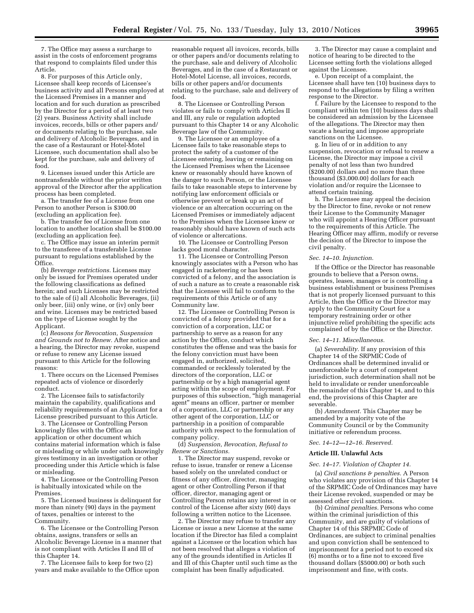7. The Office may assess a surcharge to assist in the costs of enforcement programs that respond to complaints filed under this Article.

8. For purposes of this Article only, Licensee shall keep records of Licensee's business activity and all Persons employed at the Licensed Premises in a manner and location and for such duration as prescribed by the Director for a period of at least two (2) years. Business Activity shall include invoices, records, bills or other papers and/ or documents relating to the purchase, sale and delivery of Alcoholic Beverages, and in the case of a Restaurant or Hotel-Motel Licensee, such documentation shall also be kept for the purchase, sale and delivery of food.

9. Licenses issued under this Article are nontransferable without the prior written approval of the Director after the application process has been completed.

a. The transfer fee of a License from one Person to another Person is \$300.00 (excluding an application fee).

b. The transfer fee of License from one location to another location shall be \$100.00 (excluding an application fee).

c. The Office may issue an interim permit to the transferee of a transferable License pursuant to regulations established by the Office.

(b) *Beverage restrictions.* Licenses may only be issued for Premises operated under the following classifications as defined herein; and such Licenses may be restricted to the sale of (i) all Alcoholic Beverages, (ii) only beer, (iii) only wine, or (iv) only beer and wine. Licenses may be restricted based on the type of License sought by the Applicant.

(c) *Reasons for Revocation, Suspension and Grounds not to Renew.* After notice and a hearing, the Director may revoke, suspend or refuse to renew any License issued pursuant to this Article for the following reasons:

1. There occurs on the Licensed Premises repeated acts of violence or disorderly conduct.

2. The Licensee fails to satisfactorily maintain the capability, qualifications and reliability requirements of an Applicant for a License prescribed pursuant to this Article.

3. The Licensee or Controlling Person knowingly files with the Office an application or other document which contains material information which is false or misleading or while under oath knowingly gives testimony in an investigation or other proceeding under this Article which is false or misleading.

4. The Licensee or the Controlling Person is habitually intoxicated while on the Premises.

5. The Licensed business is delinquent for more than ninety (90) days in the payment of taxes, penalties or interest to the Community.

6. The Licensee or the Controlling Person obtains, assigns, transfers or sells an Alcoholic Beverage License in a manner that is not compliant with Articles II and III of this Chapter 14.

7. The Licensee fails to keep for two (2) years and make available to the Office upon

reasonable request all invoices, records, bills or other papers and/or documents relating to the purchase, sale and delivery of Alcoholic Beverages, and in the case of a Restaurant or Hotel-Motel License, all invoices, records, bills or other papers and/or documents relating to the purchase, sale and delivery of food.

8. The Licensee or Controlling Person violates or fails to comply with Articles II and III, any rule or regulation adopted pursuant to this Chapter 14 or any Alcoholic Beverage law of the Community.

9. The Licensee or an employee of a Licensee fails to take reasonable steps to protect the safety of a customer of the Licensee entering, leaving or remaining on the Licensed Premises when the Licensee knew or reasonably should have known of the danger to such Person, or the Licensee fails to take reasonable steps to intervene by notifying law enforcement officials or otherwise prevent or break up an act of violence or an altercation occurring on the Licensed Premises or immediately adjacent to the Premises when the Licensee knew or reasonably should have known of such acts of violence or altercations.

10. The Licensee or Controlling Person lacks good moral character.

11. The Licensee or Controlling Person knowingly associates with a Person who has engaged in racketeering or has been convicted of a felony, and the association is of such a nature as to create a reasonable risk that the Licensee will fail to conform to the requirements of this Article or of any Community law.

12. The Licensee or Controlling Person is convicted of a felony provided that for a conviction of a corporation, LLC or partnership to serve as a reason for any action by the Office, conduct which constitutes the offense and was the basis for the felony conviction must have been engaged in, authorized, solicited, commanded or recklessly tolerated by the directors of the corporation, LLC or partnership or by a high managerial agent acting within the scope of employment. For purposes of this subsection, ''high managerial agent'' means an officer, partner or member of a corporation, LLC or partnership or any other agent of the corporation, LLC or partnership in a position of comparable authority with respect to the formulation of company policy.

(d) *Suspension, Revocation, Refusal to Renew or Sanctions.* 

1. The Director may suspend, revoke or refuse to issue, transfer or renew a License based solely on the unrelated conduct or fitness of any officer, director, managing agent or other Controlling Person if that officer, director, managing agent or Controlling Person retains any interest in or control of the License after sixty (60) days following a written notice to the Licensee.

2. The Director may refuse to transfer any License or issue a new License at the same location if the Director has filed a complaint against a Licensee or the location which has not been resolved that alleges a violation of any of the grounds identified in Articles II and III of this Chapter until such time as the complaint has been finally adjudicated.

3. The Director may cause a complaint and notice of hearing to be directed to the Licensee setting forth the violations alleged against the Licensee.

e. Upon receipt of a complaint, the Licensee shall have ten (10) business days to respond to the allegations by filing a written response to the Director.

f. Failure by the Licensee to respond to the compliant within ten (10) business days shall be considered an admission by the Licensee of the allegations. The Director may then vacate a hearing and impose appropriate sanctions on the Licensee.

g. In lieu of or in addition to any suspension, revocation or refusal to renew a License, the Director may impose a civil penalty of not less than two hundred (\$200.00) dollars and no more than three thousand (\$3,000.00) dollars for each violation and/or require the Licensee to attend certain training.

h. The Licensee may appeal the decision by the Director to fine, revoke or not renew their License to the Community Manager who will appoint a Hearing Officer pursuant to the requirements of this Article. The Hearing Officer may affirm, modify or reverse the decision of the Director to impose the civil penalty.

#### *Sec. 14–10. Injunction.*

If the Office or the Director has reasonable grounds to believe that a Person owns, operates, leases, manages or is controlling a business establishment or business Premises that is not properly licensed pursuant to this Article, then the Office or the Director may apply to the Community Court for a temporary restraining order or other injunctive relief prohibiting the specific acts complained of by the Office or the Director.

#### *Sec. 14–11. Miscellaneous.*

(a) *Severability.* If any provision of this Chapter 14 of the SRPMIC Code of Ordinances shall be determined invalid or unenforceable by a court of competent jurisdiction, such determination shall not be held to invalidate or render unenforceable the remainder of this Chapter 14, and to this end, the provisions of this Chapter are severable.

(b) *Amendment.* This Chapter may be amended by a majority vote of the Community Council or by the Community initiative or referendum process.

#### *Sec. 14–12—12–16. Reserved.*

#### **Article III. Unlawful Acts**

#### *Sec. 14–17. Violation of Chapter 14.*

(a) *Civil sanctions & penalties.* A Person who violates any provision of this Chapter 14 of the SRPMIC Code of Ordinances may have their License revoked, suspended or may be assessed other civil sanctions.

(b) *Criminal penalties.* Persons who come within the criminal jurisdiction of this Community, and are guilty of violations of Chapter 14 of this SRPMIC Code of Ordinances, are subject to criminal penalties and upon conviction shall be sentenced to imprisonment for a period not to exceed six (6) months or to a fine not to exceed five thousand dollars (\$5000.00) or both such imprisonment and fine, with costs.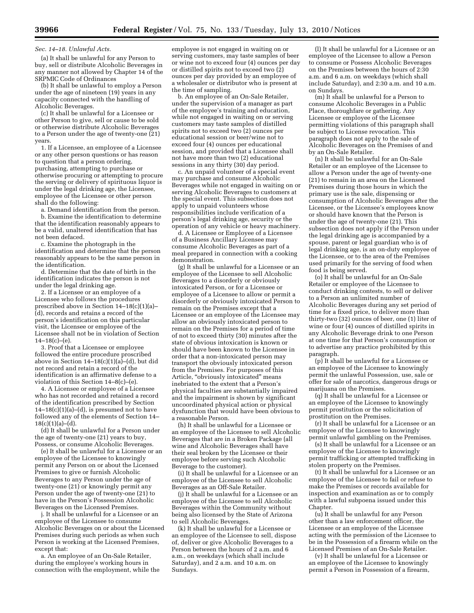# *Sec. 14–18. Unlawful Acts.*

(a) It shall be unlawful for any Person to buy, sell or distribute Alcoholic Beverages in any manner not allowed by Chapter 14 of the SRPMIC Code of Ordinances

(b) It shall be unlawful to employ a Person under the age of nineteen (19) years in any capacity connected with the handling of Alcoholic Beverages.

(c) It shall be unlawful for a Licensee or other Person to give, sell or cause to be sold or otherwise distribute Alcoholic Beverages to a Person under the age of twenty-one (21) years.

1. If a Licensee, an employee of a Licensee or any other person questions or has reason to question that a person ordering, purchasing, attempting to purchase or otherwise procuring or attempting to procure the serving or delivery of spirituous liquor is under the legal drinking age, the Licensee, employee of the Licensee or other person shall do the following:

a. Demand identification from the person.

b. Examine the identification to determine that the identification reasonably appears to be a valid, unaltered identification that has not been defaced.

c. Examine the photograph in the identification and determine that the person reasonably appears to be the same person in the identification.

d. Determine that the date of birth in the identification indicates the person is not under the legal drinking age.

2. If a Licensee or an employee of a Licensee who follows the procedures prescribed above in Section 14–18(c)(1)(a)– (d), records and retains a record of the person's identification on this particular visit, the Licensee or employee of the Licensee shall not be in violation of Section  $14-18(c)$ – $(e)$ .

3. Proof that a Licensee or employee followed the entire procedure proscribed above in Section  $14-18(c)(1)(a)-(d)$ , but did not record and retain a record of the identification is an affirmative defense to a violation of this Section 14–8(c)–(e).

4. A Licensee or employee of a Licensee who has not recorded and retained a record of the identification prescribed by Section  $14-18(c)(1)(a)-(d)$ , is presumed not to have followed any of the elements of Section 14–  $18(c)(1)(a)–(d).$ 

(d) It shall be unlawful for a Person under the age of twenty-one (21) years to buy, Possess, or consume Alcoholic Beverages.

(e) It shall be unlawful for a Licensee or an employee of the Licensee to knowingly permit any Person on or about the Licensed Premises to give or furnish Alcoholic Beverages to any Person under the age of twenty-one (21) or knowingly permit any Person under the age of twenty-one (21) to have in the Person's Possession Alcoholic Beverages on the Licensed Premises.

j. It shall be unlawful for a Licensee or an employee of the Licensee to consume Alcoholic Beverages on or about the Licensed Premises during such periods as when such Person is working at the Licensed Premises, except that:

a. An employee of an On-Sale Retailer, during the employee's working hours in connection with the employment, while the

employee is not engaged in waiting on or serving customers, may taste samples of beer or wine not to exceed four (4) ounces per day or distilled spirits not to exceed two  $(2)$ ounces per day provided by an employee of a wholesaler or distributor who is present at the time of sampling.

b. An employee of an On-Sale Retailer, under the supervision of a manager as part of the employee's training and education, while not engaged in waiting on or serving customers may taste samples of distilled spirits not to exceed two (2) ounces per educational session or beer/wine not to exceed four (4) ounces per educational session, and provided that a Licensee shall not have more than two (2) educational sessions in any thirty (30) day period.

c. An unpaid volunteer of a special event may purchase and consume Alcoholic Beverages while not engaged in waiting on or serving Alcoholic Beverages to customers at the special event. This subsection does not apply to unpaid volunteers whose responsibilities include verification of a person's legal drinking age, security or the operation of any vehicle or heavy machinery.

d. A Licensee or Employee of a Licensee of a Business Ancillary Licensee may consume Alcoholic Beverages as part of a meal prepared in connection with a cooking demonstration.

(g) It shall be unlawful for a Licensee or an employee of the Licensee to sell Alcoholic Beverages to a disorderly or obviously intoxicated Person, or for a Licensee or employee of a Licensee to allow or permit a disorderly or obviously intoxicated Person to remain on the Premises except that a Licensee or an employee of the Licensee may allow an obviously intoxicated person to remain on the Premises for a period of time of not to exceed thirty (30) minutes after the state of obvious intoxication is known or should have been known to the Licensee in order that a non-intoxicated person may transport the obviously intoxicated person from the Premises. For purposes of this Article, "obviously intoxicated" means inebriated to the extent that a Person's physical faculties are substantially impaired and the impairment is shown by significant uncoordinated physical action or physical dysfunction that would have been obvious to a reasonable Person.

(h) It shall be unlawful for a Licensee or an employee of the Licensee to sell Alcoholic Beverages that are in a Broken Package (all wine and Alcoholic Beverages shall have their seal broken by the Licensee or their employee before serving such Alcoholic Beverage to the customer).

(i) It shall be unlawful for a Licensee or an employee of the Licensee to sell Alcoholic Beverages as an Off-Sale Retailer.

(j) It shall be unlawful for a Licensee or an employee of the Licensee to sell Alcoholic Beverages within the Community without being also licensed by the State of Arizona to sell Alcoholic Beverages.

(k) It shall be unlawful for a Licensee or an employee of the Licensee to sell, dispose of, deliver or give Alcoholic Beverages to a Person between the hours of 2 a.m. and 6 a.m., on weekdays (which shall include Saturday), and 2 a.m. and 10 a.m. on Sundays.

(l) It shall be unlawful for a Licensee or an employee of the Licensee to allow a Person to consume or Possess Alcoholic Beverages on the Premises between the hours of 2:30 a.m. and 6 a.m. on weekdays (which shall include Saturday), and 2:30 a.m. and 10 a.m. on Sundays.

(m) It shall be unlawful for a Person to consume Alcoholic Beverages in a Public Place, thoroughfare or gathering. Any Licensee or employee of the Licensee permitting violations of this paragraph shall be subject to License revocation. This paragraph does not apply to the sale of Alcoholic Beverages on the Premises of and by an On-Sale Retailer.

(n) It shall be unlawful for an On-Sale Retailer or an employee of the Licensee to allow a Person under the age of twenty-one (21) to remain in an area on the Licensed Premises during those hours in which the primary use is the sale, dispensing or consumption of Alcoholic Beverages after the Licensee, or the Licensee's employees know or should have known that the Person is under the age of twenty-one (21). This subsection does not apply if the Person under the legal drinking age is accompanied by a spouse, parent or legal guardian who is of legal drinking age, is an on-duty employee of the Licensee, or to the area of the Premises used primarily for the serving of food when food is being served.

(o) It shall be unlawful for an On-Sale Retailer or employee of the Licensee to conduct drinking contests, to sell or deliver to a Person an unlimited number of Alcoholic Beverages during any set period of time for a fixed price, to deliver more than thirty-two  $(32)$  ounces of beer, one  $(1)$  liter of wine or four (4) ounces of distilled spirits in any Alcoholic Beverage drink to one Person at one time for that Person's consumption or to advertise any practice prohibited by this paragraph.

(p) It shall be unlawful for a Licensee or an employee of the Licensee to knowingly permit the unlawful Possession, use, sale or offer for sale of narcotics, dangerous drugs or marijuana on the Premises.

(q) It shall be unlawful for a Licensee or an employee of the Licensee to knowingly permit prostitution or the solicitation of prostitution on the Premises.

(r) It shall be unlawful for a Licensee or an employee of the Licensee to knowingly permit unlawful gambling on the Premises.

(s) It shall be unlawful for a Licensee or an employee of the Licensee to knowingly permit trafficking or attempted trafficking in stolen property on the Premises.

(t) It shall be unlawful for a Licensee or an employee of the Licensee to fail or refuse to make the Premises or records available for inspection and examination as or to comply with a lawful subpoena issued under this Chapter.

(u) It shall be unlawful for any Person other than a law enforcement officer, the Licensee or an employee of the Licensee acting with the permission of the Licensee to be in the Possession of a firearm while on the Licensed Premises of an On-Sale Retailer.

(v) It shall be unlawful for a Licensee or an employee of the Licensee to knowingly permit a Person in Possession of a firearm,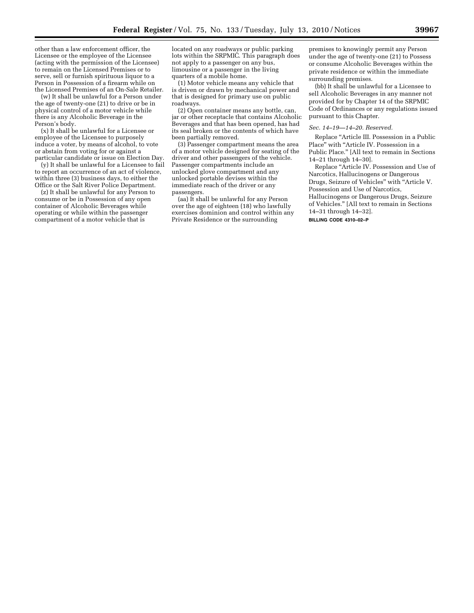other than a law enforcement officer, the Licensee or the employee of the Licensee (acting with the permission of the Licensee) to remain on the Licensed Premises or to serve, sell or furnish spirituous liquor to a Person in Possession of a firearm while on the Licensed Premises of an On-Sale Retailer.

(w) It shall be unlawful for a Person under the age of twenty-one (21) to drive or be in physical control of a motor vehicle while there is any Alcoholic Beverage in the Person's body.

(x) It shall be unlawful for a Licensee or employee of the Licensee to purposely induce a voter, by means of alcohol, to vote or abstain from voting for or against a particular candidate or issue on Election Day.

(y) It shall be unlawful for a Licensee to fail to report an occurrence of an act of violence, within three (3) business days, to either the Office or the Salt River Police Department.

(z) It shall be unlawful for any Person to consume or be in Possession of any open container of Alcoholic Beverages while operating or while within the passenger compartment of a motor vehicle that is

located on any roadways or public parking lots within the SRPMIC. This paragraph does not apply to a passenger on any bus, limousine or a passenger in the living quarters of a mobile home.

(1) Motor vehicle means any vehicle that is driven or drawn by mechanical power and that is designed for primary use on public roadways.

(2) Open container means any bottle, can, jar or other receptacle that contains Alcoholic Beverages and that has been opened, has had its seal broken or the contents of which have been partially removed.

(3) Passenger compartment means the area of a motor vehicle designed for seating of the driver and other passengers of the vehicle. Passenger compartments include an unlocked glove compartment and any unlocked portable devises within the immediate reach of the driver or any passengers.

(aa) It shall be unlawful for any Person over the age of eighteen (18) who lawfully exercises dominion and control within any Private Residence or the surrounding

premises to knowingly permit any Person under the age of twenty-one (21) to Possess or consume Alcoholic Beverages within the private residence or within the immediate surrounding premises.

(bb) It shall be unlawful for a Licensee to sell Alcoholic Beverages in any manner not provided for by Chapter 14 of the SRPMIC Code of Ordinances or any regulations issued pursuant to this Chapter.

# *Sec. 14–19—14–20. Reserved.*

Replace ''Article III. Possession in a Public Place'' with ''Article IV. Possession in a Public Place.'' [All text to remain in Sections 14–21 through 14–30].

Replace ''Article IV. Possession and Use of Narcotics, Hallucinogens or Dangerous Drugs, Seizure of Vehicles'' with ''Article V. Possession and Use of Narcotics,

Hallucinogens or Dangerous Drugs, Seizure of Vehicles.'' [All text to remain in Sections 14–31 through 14–32].

**BILLING CODE 4310–02–P**